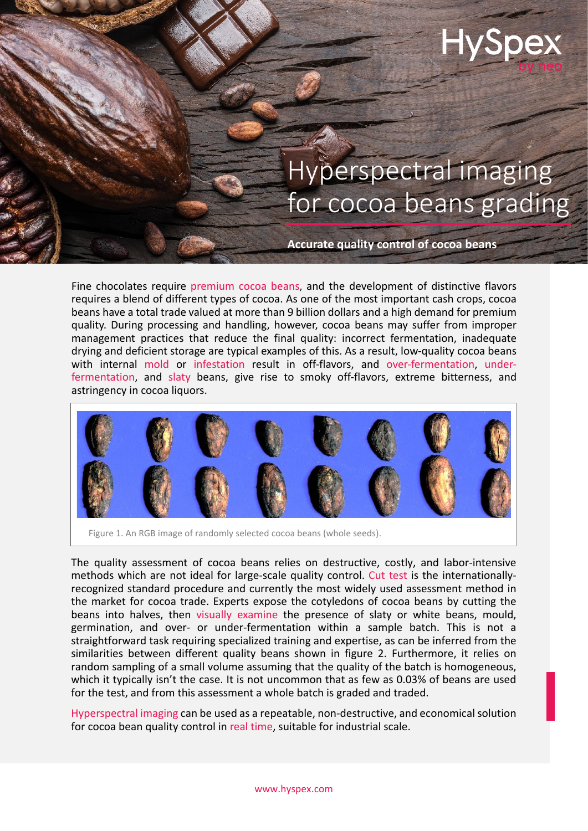

## Hyperspectral imaging for cocoa beans grading

**Accurate quality control of cocoa beans**

Fine chocolates require premium cocoa beans, and the development of distinctive flavors requires a blend of different types of cocoa. As one of the most important cash crops, cocoa beans have a total trade valued at more than 9 billion dollars and a high demand for premium quality. During processing and handling, however, cocoa beans may suffer from improper management practices that reduce the final quality: incorrect fermentation, inadequate drying and deficient storage are typical examples of this. As a result, low-quality cocoa beans with internal mold or infestation result in off-flavors, and over-fermentation, underfermentation, and slaty beans, give rise to smoky off-flavors, extreme bitterness, and astringency in cocoa liquors.



Figure 1. An RGB image of randomly selected cocoa beans (whole seeds).

 methods which are not ideal for large-scale quality control. Cut test is the internationally-The quality assessment of cocoa beans relies on destructive, costly, and labor-intensive recognized standard procedure and currently the most widely used assessment method in the market for cocoa trade. Experts expose the cotyledons of cocoa beans by cutting the beans into halves, then visually examine the presence of slaty or white beans, mould, germination, and over- or under-fermentation within a sample batch. This is not a straightforward task requiring specialized training and expertise, as can be inferred from the similarities between different quality beans shown in figure 2. Furthermore, it relies on random sampling of a small volume assuming that the quality of the batch is homogeneous, which it typically isn't the case. It is not uncommon that as few as 0.03% of beans are used for the test, and from this assessment a whole batch is graded and traded.

Hyperspectral imaging can be used as a repeatable, non-destructive, and economical solution for cocoa bean quality control in real time, suitable for industrial scale.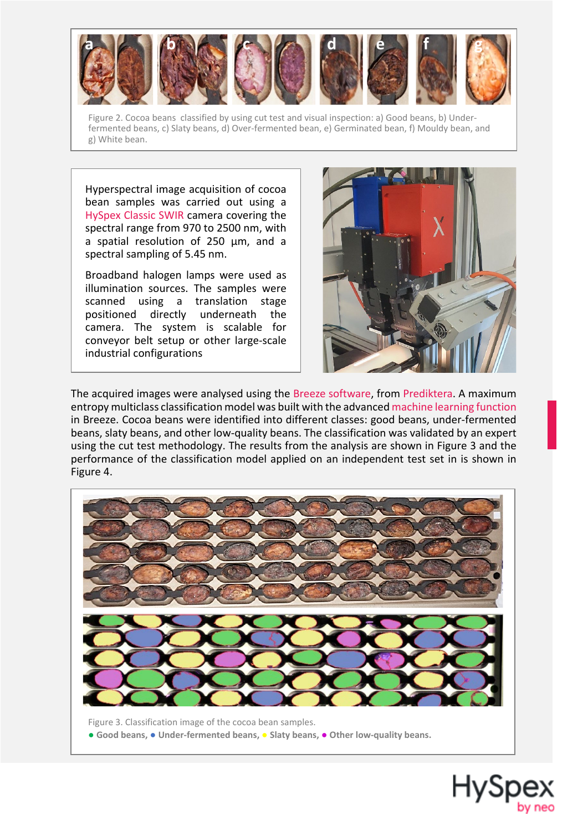

Figure 2. Cocoa beans classified by using cut test and visual inspection: a) Good beans, b) Underfermented beans, c) Slaty beans, d) Over-fermented bean, e) Germinated bean, f) Mouldy bean, and g) White bean.

Hyperspectral image acquisition of cocoa bean samples was carried out using a HySpex Classic SWIR camera covering the spectral range from 970 to 2500 nm, with a spatial resolution of 250 µm, and a spectral sampling of 5.45 nm.

Broadband halogen lamps were used as illumination sources. The samples were scanned using a translation stage positioned directly underneath the camera. The system is scalable for conveyor belt setup or other large-scale industrial configurations



The acquired images were analysed using the Breeze software, from Prediktera. A maximum entropy multiclass classification model was built with the advanced machine learning function in Breeze. Cocoa beans were identified into different classes: good beans, under-fermented beans, slaty beans, and other low-quality beans. The classification was validated by an expert using the cut test methodology. The results from the analysis are shown in Figure 3 and the performance of the classification model applied on an independent test set in is shown in Figure 4.



Figure 3. Classification image of the cocoa bean samples. **● Good beans, ● Under-fermented beans, ● Slaty beans,** ● **Other low-quality beans.**